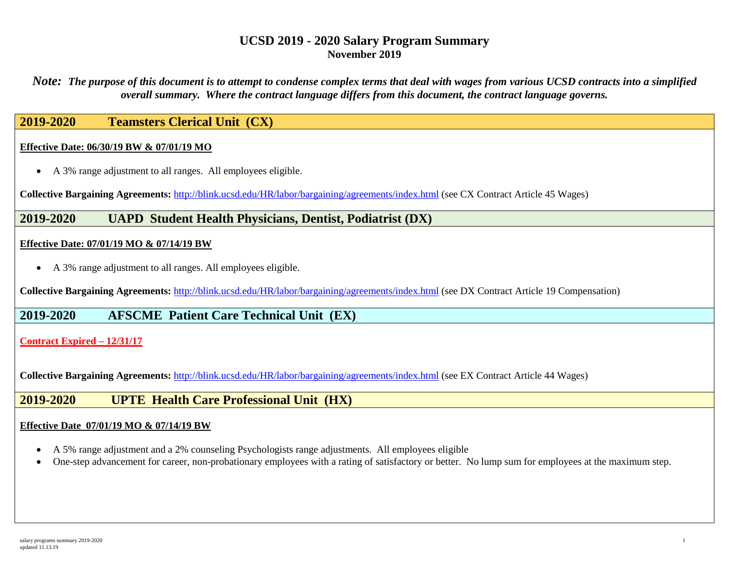*Note: The purpose of this document is to attempt to condense complex terms that deal with wages from various UCSD contracts into a simplified overall summary. Where the contract language differs from this document, the contract language governs.*

## **2019-2020 Teamsters Clerical Unit (CX)**

#### **Effective Date: 06/30/19 BW & 07/01/19 MO**

• A 3% range adjustment to all ranges. All employees eligible.

**Collective Bargaining Agreements:** <http://blink.ucsd.edu/HR/labor/bargaining/agreements/index.html> (see CX Contract Article 45 Wages)

## **2019-2020 UAPD Student Health Physicians, Dentist, Podiatrist (DX)**

#### **Effective Date: 07/01/19 MO & 07/14/19 BW**

• A 3% range adjustment to all ranges. All employees eligible.

**Collective Bargaining Agreements:** <http://blink.ucsd.edu/HR/labor/bargaining/agreements/index.html> (see DX Contract Article 19 Compensation)

## **2019-2020 AFSCME Patient Care Technical Unit (EX)**

### **Contract Expired – 12/31/17**

**Collective Bargaining Agreements:** <http://blink.ucsd.edu/HR/labor/bargaining/agreements/index.html> (see EX Contract Article 44 Wages)

### **2019-2020 UPTE Health Care Professional Unit (HX)**

#### **Effective Date 07/01/19 MO & 07/14/19 BW**

- A 5% range adjustment and a 2% counseling Psychologists range adjustments. All employees eligible
- One-step advancement for career, non-probationary employees with a rating of satisfactory or better. No lump sum for employees at the maximum step.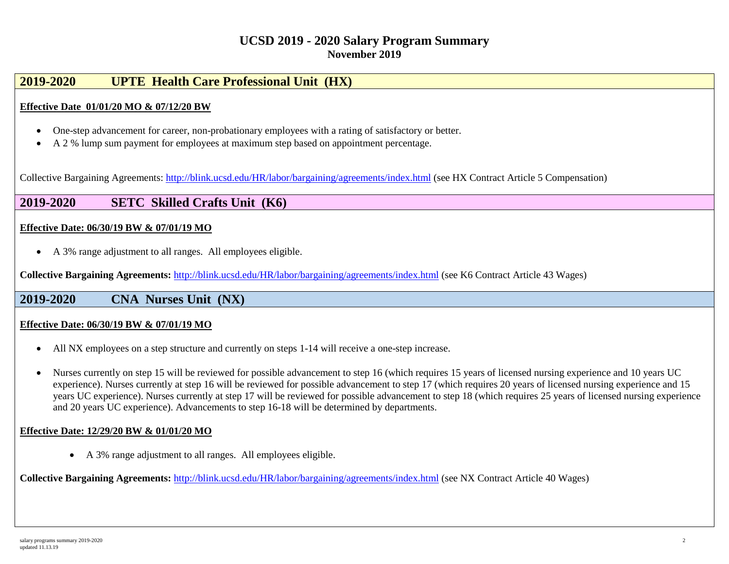## **2019-2020 UPTE Health Care Professional Unit (HX)**

### **Effective Date 01/01/20 MO & 07/12/20 BW**

- One-step advancement for career, non-probationary employees with a rating of satisfactory or better.
- A 2 % lump sum payment for employees at maximum step based on appointment percentage.

Collective Bargaining Agreements: <http://blink.ucsd.edu/HR/labor/bargaining/agreements/index.html> (see HX Contract Article 5 Compensation)

## **2019-2020 SETC Skilled Crafts Unit (K6)**

### **Effective Date: 06/30/19 BW & 07/01/19 MO**

• A 3% range adjustment to all ranges. All employees eligible.

**Collective Bargaining Agreements:** <http://blink.ucsd.edu/HR/labor/bargaining/agreements/index.html> (see K6 Contract Article 43 Wages)

**2019-2020 CNA Nurses Unit (NX)**

#### **Effective Date: 06/30/19 BW & 07/01/19 MO**

- All NX employees on a step structure and currently on steps 1-14 will receive a one-step increase.
- Nurses currently on step 15 will be reviewed for possible advancement to step 16 (which requires 15 years of licensed nursing experience and 10 years UC experience). Nurses currently at step 16 will be reviewed for possible advancement to step 17 (which requires 20 years of licensed nursing experience and 15 years UC experience). Nurses currently at step 17 will be reviewed for possible advancement to step 18 (which requires 25 years of licensed nursing experience and 20 years UC experience). Advancements to step 16-18 will be determined by departments.

#### **Effective Date: 12/29/20 BW & 01/01/20 MO**

• A 3% range adjustment to all ranges. All employees eligible.

**Collective Bargaining Agreements:** <http://blink.ucsd.edu/HR/labor/bargaining/agreements/index.html> (see NX Contract Article 40 Wages)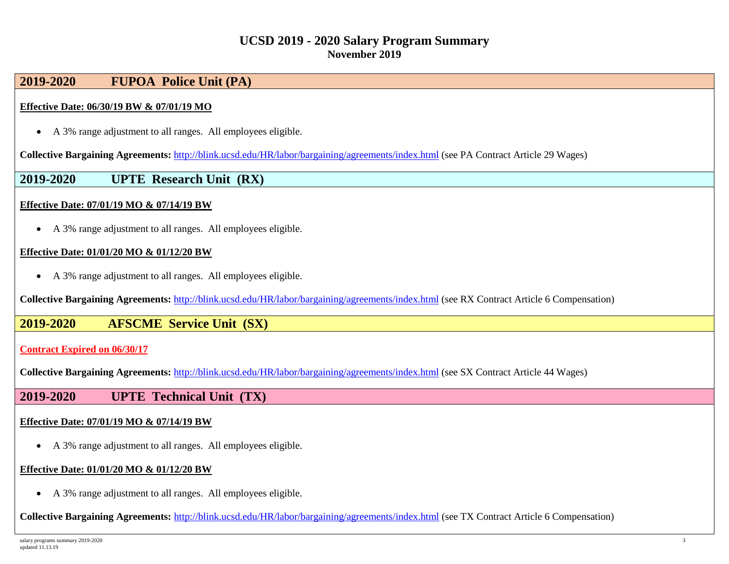## **2019-2020 FUPOA Police Unit (PA)**

### **Effective Date: 06/30/19 BW & 07/01/19 MO**

• A 3% range adjustment to all ranges. All employees eligible.

**Collective Bargaining Agreements:** <http://blink.ucsd.edu/HR/labor/bargaining/agreements/index.html> (see PA Contract Article 29 Wages)

### **2019-2020 UPTE Research Unit (RX)**

### **Effective Date: 07/01/19 MO & 07/14/19 BW**

• A 3% range adjustment to all ranges. All employees eligible.

#### **Effective Date: 01/01/20 MO & 01/12/20 BW**

• A 3% range adjustment to all ranges. All employees eligible.

**Collective Bargaining Agreements:** <http://blink.ucsd.edu/HR/labor/bargaining/agreements/index.html> (see RX Contract Article 6 Compensation)

### **2019-2020 AFSCME Service Unit (SX)**

#### **Contract Expired on 06/30/17**

**Collective Bargaining Agreements:** <http://blink.ucsd.edu/HR/labor/bargaining/agreements/index.html> (see SX Contract Article 44 Wages)

### **2019-2020 UPTE Technical Unit (TX)**

### **Effective Date: 07/01/19 MO & 07/14/19 BW**

• A 3% range adjustment to all ranges. All employees eligible.

#### **Effective Date: 01/01/20 MO & 01/12/20 BW**

• A 3% range adjustment to all ranges. All employees eligible.

**Collective Bargaining Agreements:** <http://blink.ucsd.edu/HR/labor/bargaining/agreements/index.html> (see TX Contract Article 6 Compensation)